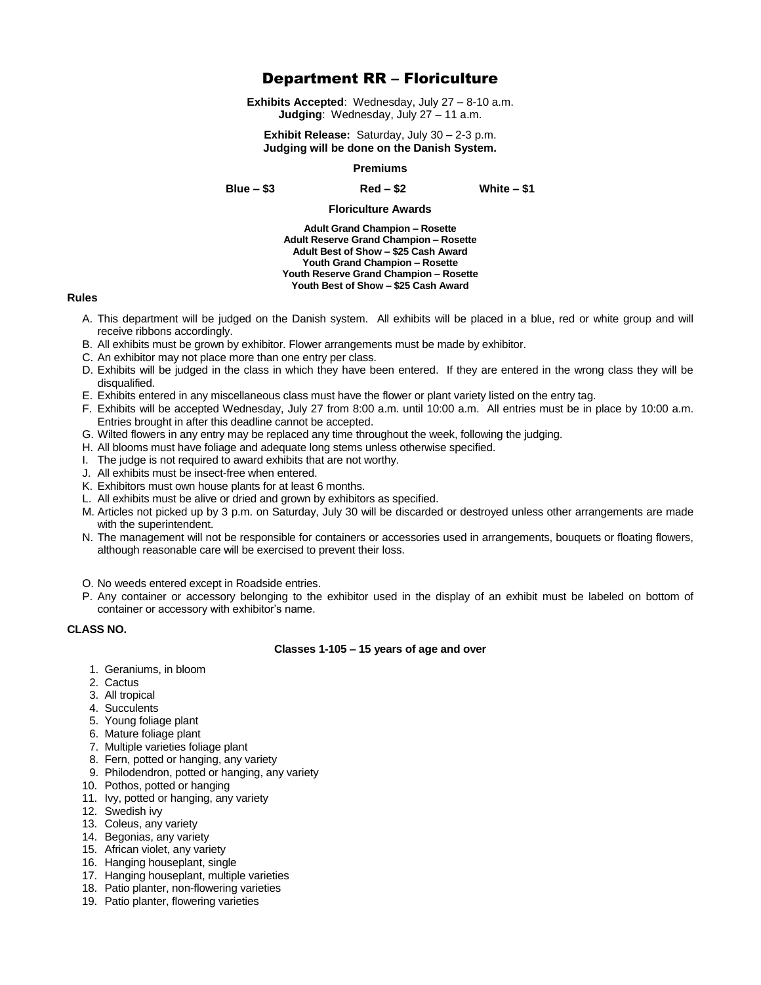# Department RR – Floriculture

**Exhibits Accepted**: Wednesday, July 27 – 8-10 a.m. **Judging**: Wednesday, July 27 – 11 a.m.

**Exhibit Release:** Saturday, July 30 – 2-3 p.m. **Judging will be done on the Danish System.**

#### **Premiums**

**Blue – \$3 Red – \$2 White – \$1**

## **Floriculture Awards**

**Adult Grand Champion – Rosette Adult Reserve Grand Champion – Rosette Adult Best of Show – \$25 Cash Award Youth Grand Champion – Rosette Youth Reserve Grand Champion – Rosette Youth Best of Show – \$25 Cash Award**

### **Rules**

- A. This department will be judged on the Danish system. All exhibits will be placed in a blue, red or white group and will receive ribbons accordingly.
- B. All exhibits must be grown by exhibitor. Flower arrangements must be made by exhibitor.
- C. An exhibitor may not place more than one entry per class.
- D. Exhibits will be judged in the class in which they have been entered. If they are entered in the wrong class they will be disqualified.
- E. Exhibits entered in any miscellaneous class must have the flower or plant variety listed on the entry tag.
- F. Exhibits will be accepted Wednesday, July 27 from 8:00 a.m. until 10:00 a.m. All entries must be in place by 10:00 a.m. Entries brought in after this deadline cannot be accepted.
- G. Wilted flowers in any entry may be replaced any time throughout the week, following the judging.
- H. All blooms must have foliage and adequate long stems unless otherwise specified.
- I. The judge is not required to award exhibits that are not worthy.
- J. All exhibits must be insect-free when entered.
- K. Exhibitors must own house plants for at least 6 months.
- L. All exhibits must be alive or dried and grown by exhibitors as specified.
- M. Articles not picked up by 3 p.m. on Saturday, July 30 will be discarded or destroyed unless other arrangements are made with the superintendent.
- N. The management will not be responsible for containers or accessories used in arrangements, bouquets or floating flowers, although reasonable care will be exercised to prevent their loss.
- O. No weeds entered except in Roadside entries.
- P. Any container or accessory belonging to the exhibitor used in the display of an exhibit must be labeled on bottom of container or accessory with exhibitor's name.

## **CLASS NO.**

#### **Classes 1-105 – 15 years of age and over**

- 1. Geraniums, in bloom
- 2. Cactus
- 3. All tropical
- 4. Succulents
- 5. Young foliage plant
- 6. Mature foliage plant
- 7. Multiple varieties foliage plant
- 8. Fern, potted or hanging, any variety
- 9. Philodendron, potted or hanging, any variety
- 10. Pothos, potted or hanging
- 11. Ivy, potted or hanging, any variety
- 12. Swedish ivy
- 13. Coleus, any variety
- 14. Begonias, any variety
- 15. African violet, any variety
- 16. Hanging houseplant, single
- 17. Hanging houseplant, multiple varieties
- 18. Patio planter, non-flowering varieties
- 19. Patio planter, flowering varieties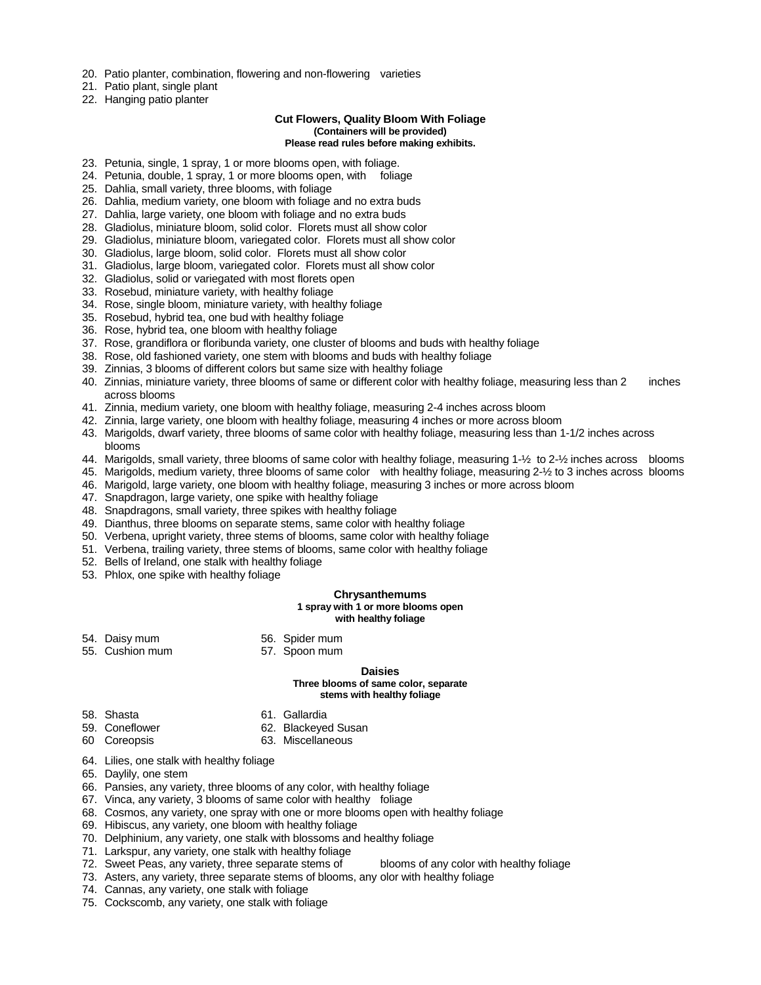- 20. Patio planter, combination, flowering and non-flowering varieties
- 21. Patio plant, single plant
- 22. Hanging patio planter

#### **Cut Flowers, Quality Bloom With Foliage (Containers will be provided)**

#### **Please read rules before making exhibits.**

- 23. Petunia, single, 1 spray, 1 or more blooms open, with foliage.
- 24. Petunia, double, 1 spray, 1 or more blooms open, with foliage
- 25. Dahlia, small variety, three blooms, with foliage
- 26. Dahlia, medium variety, one bloom with foliage and no extra buds
- 27. Dahlia, large variety, one bloom with foliage and no extra buds
- 28. Gladiolus, miniature bloom, solid color. Florets must all show color
- 29. Gladiolus, miniature bloom, variegated color. Florets must all show color
- 30. Gladiolus, large bloom, solid color. Florets must all show color
- 31. Gladiolus, large bloom, variegated color. Florets must all show color
- 32. Gladiolus, solid or variegated with most florets open
- 33. Rosebud, miniature variety, with healthy foliage
- 34. Rose, single bloom, miniature variety, with healthy foliage
- 35. Rosebud, hybrid tea, one bud with healthy foliage
- 36. Rose, hybrid tea, one bloom with healthy foliage
- 37. Rose, grandiflora or floribunda variety, one cluster of blooms and buds with healthy foliage
- 38. Rose, old fashioned variety, one stem with blooms and buds with healthy foliage
- 39. Zinnias, 3 blooms of different colors but same size with healthy foliage
- 40. Zinnias, miniature variety, three blooms of same or different color with healthy foliage, measuring less than 2 inches across blooms
- 41. Zinnia, medium variety, one bloom with healthy foliage, measuring 2-4 inches across bloom
- 42. Zinnia, large variety, one bloom with healthy foliage, measuring 4 inches or more across bloom
- 43. Marigolds, dwarf variety, three blooms of same color with healthy foliage, measuring less than 1-1/2 inches across blooms
- 44. Marigolds, small variety, three blooms of same color with healthy foliage, measuring 1-½ to 2-½ inches across blooms
- 45. Marigolds, medium variety, three blooms of same color with healthy foliage, measuring 2-½ to 3 inches across blooms
- 46. Marigold, large variety, one bloom with healthy foliage, measuring 3 inches or more across bloom
- 47. Snapdragon, large variety, one spike with healthy foliage
- 48. Snapdragons, small variety, three spikes with healthy foliage
- 49. Dianthus, three blooms on separate stems, same color with healthy foliage
- 50. Verbena, upright variety, three stems of blooms, same color with healthy foliage
- 51. Verbena, trailing variety, three stems of blooms, same color with healthy foliage
- 52. Bells of Ireland, one stalk with healthy foliage
- 53. Phlox, one spike with healthy foliage

## **Chrysanthemums**

## **1 spray with 1 or more blooms open**

## **with healthy foliage**

- 54. Daisy mum 56. Spider mum
	-
- 55. Cushion mum 57. Spoon mum

### **Daisies**

#### **Three blooms of same color, separate stems with healthy foliage**

- 58. Shasta 61. Gallardia
	-
- 59. Coneflower 62. Blackeyed Susan
	-
- 
- 60 Coreopsis 63. Miscellaneous
- 64. Lilies, one stalk with healthy foliage
- 65. Daylily, one stem
- 66. Pansies, any variety, three blooms of any color, with healthy foliage
- 67. Vinca, any variety, 3 blooms of same color with healthy foliage
- 68. Cosmos, any variety, one spray with one or more blooms open with healthy foliage
- 69. Hibiscus, any variety, one bloom with healthy foliage
- 70. Delphinium, any variety, one stalk with blossoms and healthy foliage
- 71. Larkspur, any variety, one stalk with healthy foliage
- 72. Sweet Peas, any variety, three separate stems of blooms of any color with healthy foliage
- 73. Asters, any variety, three separate stems of blooms, any olor with healthy foliage
- 74. Cannas, any variety, one stalk with foliage
- 75. Cockscomb, any variety, one stalk with foliage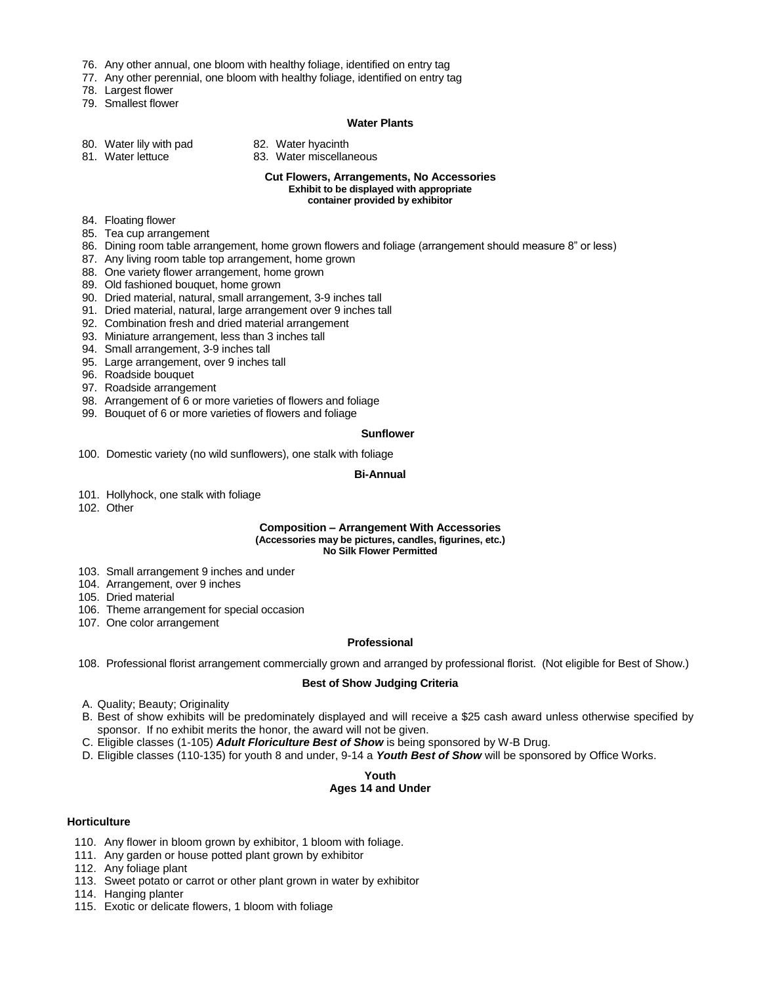- 76. Any other annual, one bloom with healthy foliage, identified on entry tag
- 77. Any other perennial, one bloom with healthy foliage, identified on entry tag
- 78. Largest flower
- 79. Smallest flower

## **Water Plants**

- 80. Water lily with pad 82. Water hyacinth<br>81. Water lettuce 83. Water miscellar
	-
- 
- 83. Water miscellaneous

#### **Cut Flowers, Arrangements, No Accessories Exhibit to be displayed with appropriate container provided by exhibitor**

- 84. Floating flower
- 85. Tea cup arrangement
- 86. Dining room table arrangement, home grown flowers and foliage (arrangement should measure 8" or less)
- 87. Any living room table top arrangement, home grown
- 88. One variety flower arrangement, home grown
- 89. Old fashioned bouquet, home grown
- 90. Dried material, natural, small arrangement, 3-9 inches tall
- 91. Dried material, natural, large arrangement over 9 inches tall
- 92. Combination fresh and dried material arrangement
- 93. Miniature arrangement, less than 3 inches tall
- 94. Small arrangement, 3-9 inches tall
- 95. Large arrangement, over 9 inches tall
- 96. Roadside bouquet
- 97. Roadside arrangement
- 98. Arrangement of 6 or more varieties of flowers and foliage
- 99. Bouquet of 6 or more varieties of flowers and foliage

### **Sunflower**

100. Domestic variety (no wild sunflowers), one stalk with foliage

#### **Bi-Annual**

- 101. Hollyhock, one stalk with foliage
- 102. Other

#### **Composition – Arrangement With Accessories (Accessories may be pictures, candles, figurines, etc.) No Silk Flower Permitted**

- 103. Small arrangement 9 inches and under
- 104. Arrangement, over 9 inches
- 105. Dried material
- 106. Theme arrangement for special occasion
- 107. One color arrangement

## **Professional**

108. Professional florist arrangement commercially grown and arranged by professional florist. (Not eligible for Best of Show.)

#### **Best of Show Judging Criteria**

- A. Quality; Beauty; Originality
- B. Best of show exhibits will be predominately displayed and will receive a \$25 cash award unless otherwise specified by sponsor. If no exhibit merits the honor, the award will not be given.
- C. Eligible classes (1-105) *Adult Floriculture Best of Show* is being sponsored by W-B Drug.
- D. Eligible classes (110-135) for youth 8 and under, 9-14 a *Youth Best of Show* will be sponsored by Office Works.

#### **Youth Ages 14 and Under**

## **Horticulture**

- 110. Any flower in bloom grown by exhibitor, 1 bloom with foliage.
- 111. Any garden or house potted plant grown by exhibitor
- 112. Any foliage plant
- 113. Sweet potato or carrot or other plant grown in water by exhibitor
- 114. Hanging planter
- 115. Exotic or delicate flowers, 1 bloom with foliage